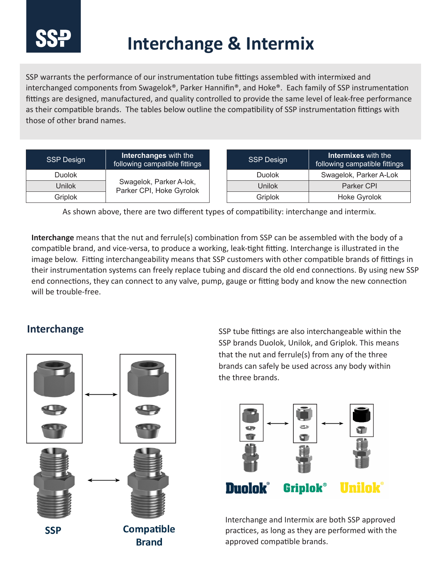

## **Interchange & Intermix**

SSP warrants the performance of our instrumentation tube fittings assembled with intermixed and interchanged components from Swagelok®, Parker Hannifin®, and Hoke®. Each family of SSP instrumentation fittings are designed, manufactured, and quality controlled to provide the same level of leak-free performance as their compatible brands. The tables below outline the compatibility of SSP instrumentation fittings with those of other brand names.

| <b>SSP Design</b> | <b>Interchanges</b> with the<br>following campatible fittings | <b>SSP Design</b> | <b>Intermixes</b> with the<br>following campatible fittings |
|-------------------|---------------------------------------------------------------|-------------------|-------------------------------------------------------------|
| <b>Duolok</b>     | Swagelok, Parker A-lok,<br>Parker CPI, Hoke Gyrolok           | Duolok            | Swagelok, Parker A-Lok                                      |
| Unilok            |                                                               | Unilok            | Parker CPI                                                  |
| Griplok           |                                                               | <b>Griplok</b>    | <b>Hoke Gyrolok</b>                                         |

As shown above, there are two different types of compatibility: interchange and intermix.

**Interchange** means that the nut and ferrule(s) combination from SSP can be assembled with the body of a compatible brand, and vice-versa, to produce a working, leak-tight fitting. Interchange is illustrated in the image below. Fitting interchangeability means that SSP customers with other compatible brands of fittings in their instrumentation systems can freely replace tubing and discard the old end connections. By using new SSP end connections, they can connect to any valve, pump, gauge or fitting body and know the new connection will be trouble-free.

## **Interchange**



SSP tube fittings are also interchangeable within the SSP brands Duolok, Unilok, and Griplok. This means that the nut and ferrule(s) from any of the three brands can safely be used across any body within the three brands.



Interchange and Intermix are both SSP approved practices, as long as they are performed with the approved compatible brands.